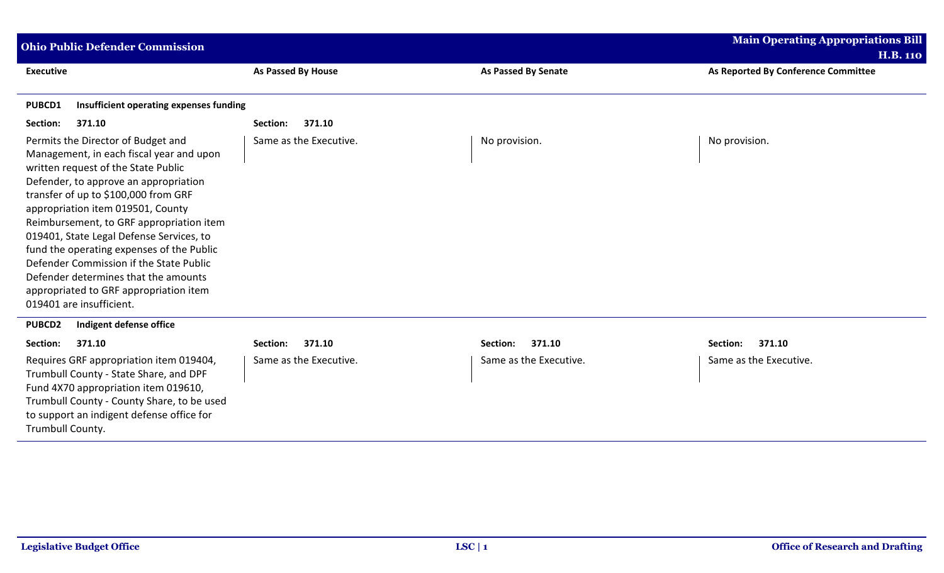| <b>Ohio Public Defender Commission</b>                                                                                                                                                                                                                                                                                                                                                                                                                                                                                                    |                        |                            | <b>Main Operating Appropriations Bill</b> |  |
|-------------------------------------------------------------------------------------------------------------------------------------------------------------------------------------------------------------------------------------------------------------------------------------------------------------------------------------------------------------------------------------------------------------------------------------------------------------------------------------------------------------------------------------------|------------------------|----------------------------|-------------------------------------------|--|
|                                                                                                                                                                                                                                                                                                                                                                                                                                                                                                                                           |                        |                            | <b>H.B. 110</b>                           |  |
| <b>Executive</b>                                                                                                                                                                                                                                                                                                                                                                                                                                                                                                                          | As Passed By House     | <b>As Passed By Senate</b> | As Reported By Conference Committee       |  |
| Insufficient operating expenses funding<br><b>PUBCD1</b>                                                                                                                                                                                                                                                                                                                                                                                                                                                                                  |                        |                            |                                           |  |
| 371.10<br>Section:                                                                                                                                                                                                                                                                                                                                                                                                                                                                                                                        | 371.10<br>Section:     |                            |                                           |  |
| Permits the Director of Budget and<br>Management, in each fiscal year and upon<br>written request of the State Public<br>Defender, to approve an appropriation<br>transfer of up to \$100,000 from GRF<br>appropriation item 019501, County<br>Reimbursement, to GRF appropriation item<br>019401, State Legal Defense Services, to<br>fund the operating expenses of the Public<br>Defender Commission if the State Public<br>Defender determines that the amounts<br>appropriated to GRF appropriation item<br>019401 are insufficient. | Same as the Executive. | No provision.              | No provision.                             |  |
| Indigent defense office<br><b>PUBCD2</b>                                                                                                                                                                                                                                                                                                                                                                                                                                                                                                  |                        |                            |                                           |  |
| 371.10<br>Section:                                                                                                                                                                                                                                                                                                                                                                                                                                                                                                                        | 371.10<br>Section:     | 371.10<br>Section:         | Section:<br>371.10                        |  |
| Requires GRF appropriation item 019404,<br>Trumbull County - State Share, and DPF<br>Fund 4X70 appropriation item 019610,<br>Trumbull County - County Share, to be used<br>to support an indigent defense office for<br>Trumbull County.                                                                                                                                                                                                                                                                                                  | Same as the Executive. | Same as the Executive.     | Same as the Executive.                    |  |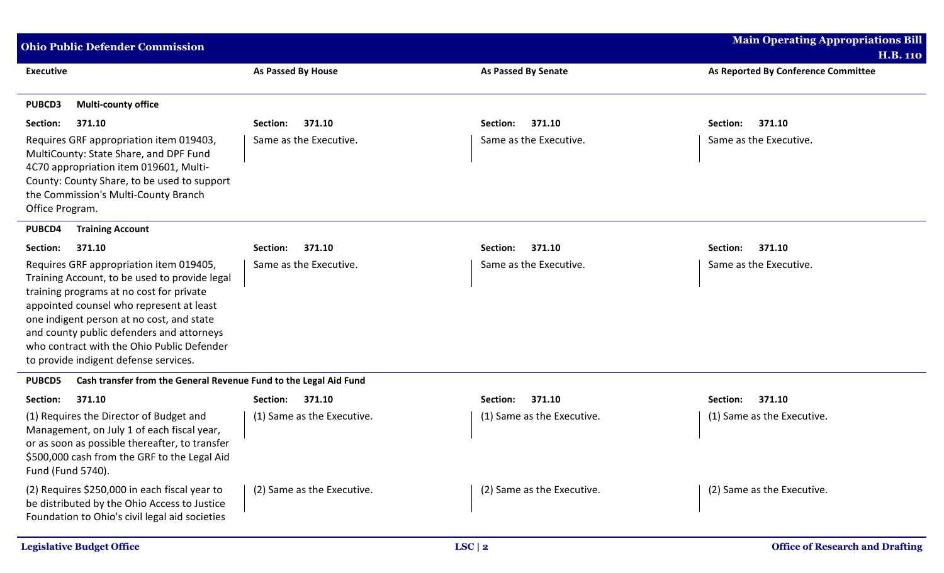| <b>Ohio Public Defender Commission</b>                                                                                                                                                                                                                                                                                                                            |                            |                            | <b>Main Operating Appropriations Bill</b> |  |
|-------------------------------------------------------------------------------------------------------------------------------------------------------------------------------------------------------------------------------------------------------------------------------------------------------------------------------------------------------------------|----------------------------|----------------------------|-------------------------------------------|--|
|                                                                                                                                                                                                                                                                                                                                                                   |                            |                            | <b>H.B. 110</b>                           |  |
| <b>Executive</b>                                                                                                                                                                                                                                                                                                                                                  | <b>As Passed By House</b>  | <b>As Passed By Senate</b> | As Reported By Conference Committee       |  |
| <b>PUBCD3</b><br><b>Multi-county office</b>                                                                                                                                                                                                                                                                                                                       |                            |                            |                                           |  |
| Section:<br>371.10                                                                                                                                                                                                                                                                                                                                                | 371.10<br>Section:         | 371.10<br>Section:         | 371.10<br>Section:                        |  |
| Requires GRF appropriation item 019403,<br>MultiCounty: State Share, and DPF Fund<br>4C70 appropriation item 019601, Multi-<br>County: County Share, to be used to support<br>the Commission's Multi-County Branch<br>Office Program.                                                                                                                             | Same as the Executive.     | Same as the Executive.     | Same as the Executive.                    |  |
| PUBCD4<br><b>Training Account</b>                                                                                                                                                                                                                                                                                                                                 |                            |                            |                                           |  |
| 371.10<br>Section:                                                                                                                                                                                                                                                                                                                                                | 371.10<br>Section:         | 371.10<br>Section:         | Section:<br>371.10                        |  |
| Requires GRF appropriation item 019405,<br>Training Account, to be used to provide legal<br>training programs at no cost for private<br>appointed counsel who represent at least<br>one indigent person at no cost, and state<br>and county public defenders and attorneys<br>who contract with the Ohio Public Defender<br>to provide indigent defense services. | Same as the Executive.     | Same as the Executive.     | Same as the Executive.                    |  |
| <b>PUBCD5</b><br>Cash transfer from the General Revenue Fund to the Legal Aid Fund                                                                                                                                                                                                                                                                                |                            |                            |                                           |  |
| Section:<br>371.10                                                                                                                                                                                                                                                                                                                                                | 371.10<br>Section:         | 371.10<br>Section:         | 371.10<br>Section:                        |  |
| (1) Requires the Director of Budget and<br>Management, on July 1 of each fiscal year,<br>or as soon as possible thereafter, to transfer<br>\$500,000 cash from the GRF to the Legal Aid<br>Fund (Fund 5740).                                                                                                                                                      | (1) Same as the Executive. | (1) Same as the Executive. | (1) Same as the Executive.                |  |
| (2) Requires \$250,000 in each fiscal year to<br>be distributed by the Ohio Access to Justice<br>Foundation to Ohio's civil legal aid societies                                                                                                                                                                                                                   | (2) Same as the Executive. | (2) Same as the Executive. | (2) Same as the Executive.                |  |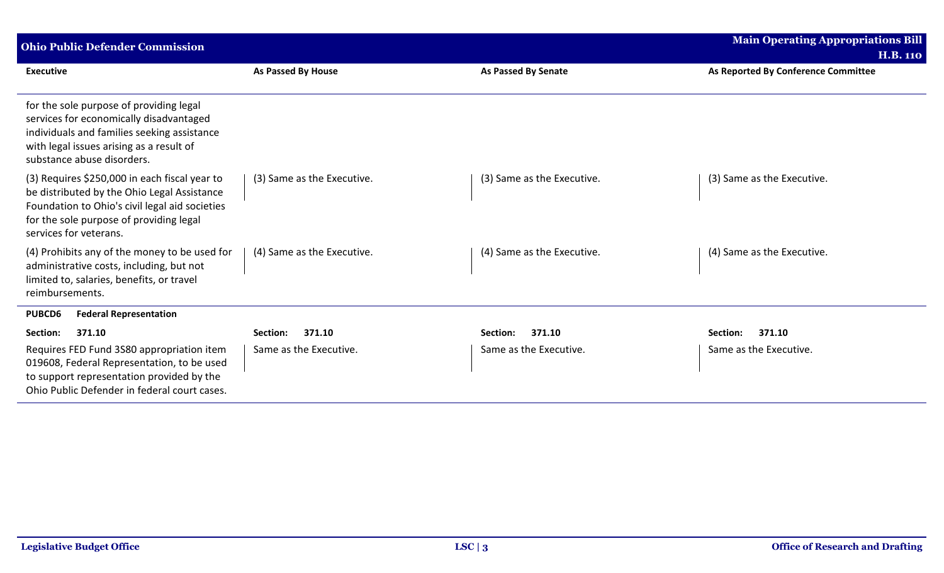| <b>Ohio Public Defender Commission</b>                                                                                                                                                                              |                            |                            | <b>Main Operating Appropriations Bill</b> |
|---------------------------------------------------------------------------------------------------------------------------------------------------------------------------------------------------------------------|----------------------------|----------------------------|-------------------------------------------|
|                                                                                                                                                                                                                     |                            |                            | <b>H.B. 110</b>                           |
| <b>Executive</b>                                                                                                                                                                                                    | <b>As Passed By House</b>  | <b>As Passed By Senate</b> | As Reported By Conference Committee       |
| for the sole purpose of providing legal<br>services for economically disadvantaged<br>individuals and families seeking assistance<br>with legal issues arising as a result of<br>substance abuse disorders.         |                            |                            |                                           |
| (3) Requires \$250,000 in each fiscal year to<br>be distributed by the Ohio Legal Assistance<br>Foundation to Ohio's civil legal aid societies<br>for the sole purpose of providing legal<br>services for veterans. | (3) Same as the Executive. | (3) Same as the Executive. | (3) Same as the Executive.                |
| (4) Prohibits any of the money to be used for<br>administrative costs, including, but not<br>limited to, salaries, benefits, or travel<br>reimbursements.                                                           | (4) Same as the Executive. | (4) Same as the Executive. | (4) Same as the Executive.                |
| <b>Federal Representation</b><br><b>PUBCD6</b>                                                                                                                                                                      |                            |                            |                                           |
| Section:<br>371.10                                                                                                                                                                                                  | 371.10<br>Section:         | 371.10<br>Section:         | 371.10<br>Section:                        |
| Requires FED Fund 3S80 appropriation item<br>019608, Federal Representation, to be used<br>to support representation provided by the<br>Ohio Public Defender in federal court cases.                                | Same as the Executive.     | Same as the Executive.     | Same as the Executive.                    |